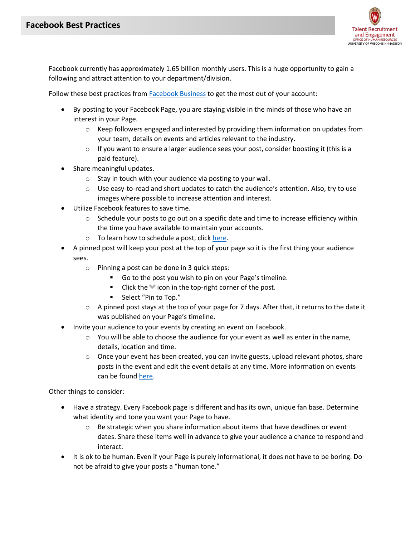

Facebook currently has approximately 1.65 billion monthly users. This is a huge opportunity to gain a following and attract attention to your department/division.

Follow these best practices from **Facebook Business** to get the most out of your account:

- By posting to your Facebook Page, you are staying visible in the minds of those who have an interest in your Page.
	- $\circ$  Keep followers engaged and interested by providing them information on updates from your team, details on events and articles relevant to the industry.
	- o If you want to ensure a larger audience sees your post, consider boosting it (this is a paid feature).
- Share meaningful updates.
	- o Stay in touch with your audience via posting to your wall.
	- $\circ$  Use easy-to-read and short updates to catch the audience's attention. Also, try to use images where possible to increase attention and interest.
- Utilize Facebook features to save time.
	- $\circ$  Schedule your posts to go out on a specific date and time to increase efficiency within the time you have available to maintain your accounts.
	- o To learn how to schedule a post, clic[k here.](https://www.facebook.com/help/389849807718635)
- A pinned post will keep your post at the top of your page so it is the first thing your audience sees.
	- o Pinning a post can be done in 3 quick steps:
		- Go to the post you wish to pin on your Page's timeline.
		- **Click the icon in the top-right corner of the post.**
		- Select "Pin to Top."
	- $\circ$  A pinned post stays at the top of your page for 7 days. After that, it returns to the date it was published on your Page's timeline.
- Invite your audience to your events by creating an event on Facebook.
	- $\circ$  You will be able to choose the audience for your event as well as enter in the name, details, location and time.
	- $\circ$  Once your event has been created, you can invite guests, upload relevant photos, share posts in the event and edit the event details at any time. More information on events can be found [here.](https://www.facebook.com/help/210413455658361)

Other things to consider:

- Have a strategy. Every Facebook page is different and has its own, unique fan base. Determine what identity and tone you want your Page to have.
	- $\circ$  Be strategic when you share information about items that have deadlines or event dates. Share these items well in advance to give your audience a chance to respond and interact.
- It is ok to be human. Even if your Page is purely informational, it does not have to be boring. Do not be afraid to give your posts a "human tone."